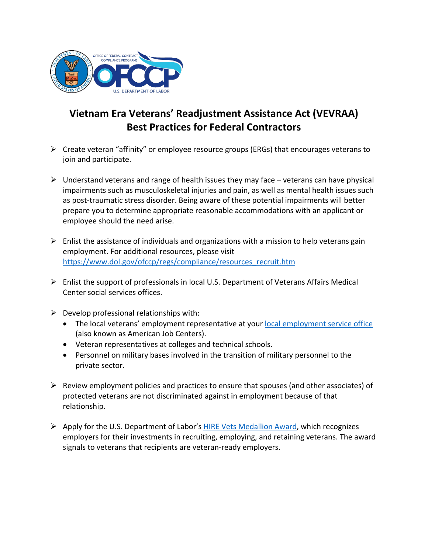

## **Vietnam Era Veterans' Readjustment Assistance Act (VEVRAA) Best Practices for Federal Contractors**

- $\triangleright$  Create veteran "affinity" or employee resource groups (ERGs) that encourages veterans to join and participate.
- $\triangleright$  Understand veterans and range of health issues they may face veterans can have physical impairments such as musculoskeletal injuries and pain, as well as mental health issues such as post-traumatic stress disorder. Being aware of these potential impairments will better prepare you to determine appropriate reasonable accommodations with an applicant or employee should the need arise.
- $\triangleright$  Enlist the assistance of individuals and organizations with a mission to help veterans gain employment. For additional resources, please visit [https://www.dol.gov/ofccp/regs/compliance/resources\\_recruit.htm](https://www.dol.gov/ofccp/regs/compliance/resources_recruit.htm)
- $\triangleright$  Enlist the support of professionals in local U.S. Department of Veterans Affairs Medical Center social services offices.
- $\triangleright$  Develop professional relationships with:
	- The local veterans' employment representative at your [local employment service office](https://www.careeronestop.org/BusinessCenter/Toolkit/find-american-job-centers.aspx) (also known as American Job Centers).
	- Veteran representatives at colleges and technical schools.
	- Personnel on military bases involved in the transition of military personnel to the private sector.
- $\triangleright$  Review employment policies and practices to ensure that spouses (and other associates) of protected veterans are not discriminated against in employment because of that relationship.
- Apply for the U.S. Department of Labor's **[HIRE Vets Medallion](https://www.hirevets.gov/) Award**, which recognizes employers for their investments in recruiting, employing, and retaining veterans. The award signals to veterans that recipients are veteran-ready employers.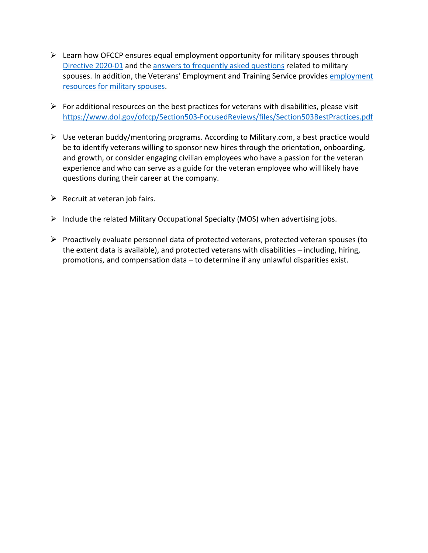- $\triangleright$  Learn how OFCCP ensures equal employment opportunity for military spouses through [Directive 2020-01](https://www.dol.gov/ofccp/regs/compliance/directives/dir2020_01.html) and the [answers to frequently asked questions](https://www.dol.gov/ofccp/regs/compliance/faqs/MilitarySpousesFAQs.htm) related to military spouses. In addition, the Veterans' Employment and Training Service provides employment [resources for military spouses.](https://www.veterans.gov/milspouses/)
- $\triangleright$  For additional resources on the best practices for veterans with disabilities, please visit <https://www.dol.gov/ofccp/Section503-FocusedReviews/files/Section503BestPractices.pdf>
- $\triangleright$  Use veteran buddy/mentoring programs. According to Military.com, a best practice would be to identify veterans willing to sponsor new hires through the orientation, onboarding, and growth, or consider engaging civilian employees who have a passion for the veteran experience and who can serve as a guide for the veteran employee who will likely have questions during their career at the company.
- $\triangleright$  Recruit at veteran job fairs.
- Include the related Military Occupational Specialty (MOS) when advertising jobs.
- $\triangleright$  Proactively evaluate personnel data of protected veterans, protected veteran spouses (to the extent data is available), and protected veterans with disabilities – including, hiring, promotions, and compensation data – to determine if any unlawful disparities exist.